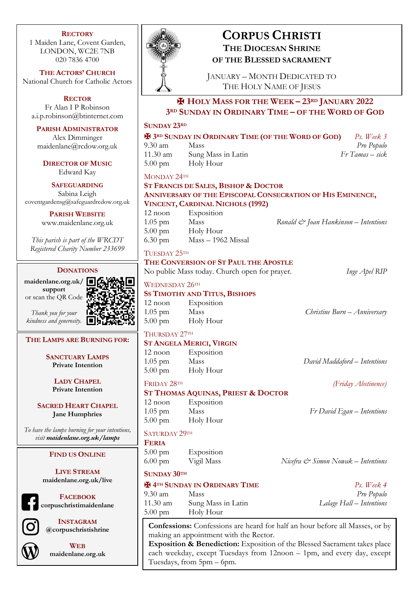#### **RECTORY**

1 Maiden Lane, Covent Garden, LONDON, WC2E 7NB 020 7836 4700

**THE ACTORS' CHURCH** National Church for Catholic Actors

**RECTOR** Fr Alan I P Robinson a.i.p.robinson@btinternet.com

**PARISH ADMINISTRATOR**

Alex Dimminger maidenlane@rcdow.org.uk

**DIRECTOR OF MUSIC** Edward Kay

**SAFEGUARDING** Sabina Leigh coventgardensg@safeguardrcdow.org.uk

> **PARISH WEBSITE** www.maidenlane.org.uk

*This parish is part of the WRCDT Registered Charity Number 233699*

#### **DONATIONS**

**maidenlane.org.uk/ support** or scan the QR Code



# *kindness and generosity.*

#### **THE LAMPS ARE BURNING FOR:**

**SANCTUARY LAMPS Private Intention**

> **LADY CHAPEL Private Intention**

**SACRED HEART CHAPEL Jane Humphries**

*To have the lamps burning for your intentions, visit maidenlane.org.uk/lamps*

#### **FIND US ONLINE**

**LIVE STREAM maidenlane.org.uk/live**

**FACEBOOK**

**corpuschristimaidenlane**

**INSTAGRAM @corpuschristishrine**

**WEB maidenlane.org.uk** **SUNDAY 23RD**

✠ **3RD SUNDAY IN ORDINARY TIME (OF THE WORD OF GOD)** *Ps. Week 3* 9.30 am Mass *Pro Populo* 11.30 am Sung Mass in Latin *Fr Tamas – sick* 5.00 pm Holy Hour

MONDAY 24TH

### **ST FRANCIS DE SALES, BISHOP & DOCTOR ANNIVERSARY OF THE EPISCOPAL CONSECRATION OF HIS EMINENCE, VINCENT, CARDINAL NICHOLS (1992)**

12 noon Exposition 1.05 pm Mass *Ronald & Joan Hankinson – Intentions* 5.00 pm Holy Hour 6.30 pm Mass – 1962 Missal

TUESDAY 25TH

**THE CONVERSION OF ST PAUL THE APOSTLE**

No public Mass today. Church open for prayer. *Inge Apel RIP*

#### WEDNESDAY 26TH

#### **SS TIMOTHY AND TITUS, BISHOPS** 12 noon Exposition

1.05 pm Mass *Christine Burn – Anniversary* 5.00 pm Holy Hour

# THURSDAY 27TH

# **ST ANGELA MERICI, VIRGIN** 12 noon Exposition

1.05 pm Mass *David Maddaford – Intentions* 5.00 pm Holy Hour

# FRIDAY 28TH *(Friday Abstinence)*

# **ST THOMAS AQUINAS, PRIEST & DOCTOR**

12 noon Exposition 1.05 pm Mass *Fr David Egan – Intentions* 5.00 pm Holy Hour

#### SATURDAY 29TH

**FERIA** 5.00 pm Exposition

6.00 pm Vigil Mass *Nicefra & Simon Nowak – Intentions*

**SUNDAY 30TH**

### ✠ **4TH SUNDAY IN ORDINARY TIME** *Ps. Week 4* 9.30 am Mass *Pro Populo*

11.30 am Sung Mass in Latin *Lalage Hall – Intentions* 5.00 pm Holy Hour

**Confessions:** Confessions are heard for half an hour before all Masses, or by making an appointment with the Rector.

**Exposition & Benediction:** Exposition of the Blessed Sacrament takes place each weekday, except Tuesdays from 12noon – 1pm, and every day, except Tuesdays, from 5pm – 6pm.

# **CORPUS CHRISTI THE DIOCESAN SHRINE OF THE BLESSED SACRAMENT**

JANUARY – MONTH DEDICATED TO THE HOLY NAME OF JESUS

✠ **HOLY MASS FOR THE WEEK – 23RD JANUARY 2022**

**3RD SUNDAY IN ORDINARY TIME – OF THE WORD OF GOD**